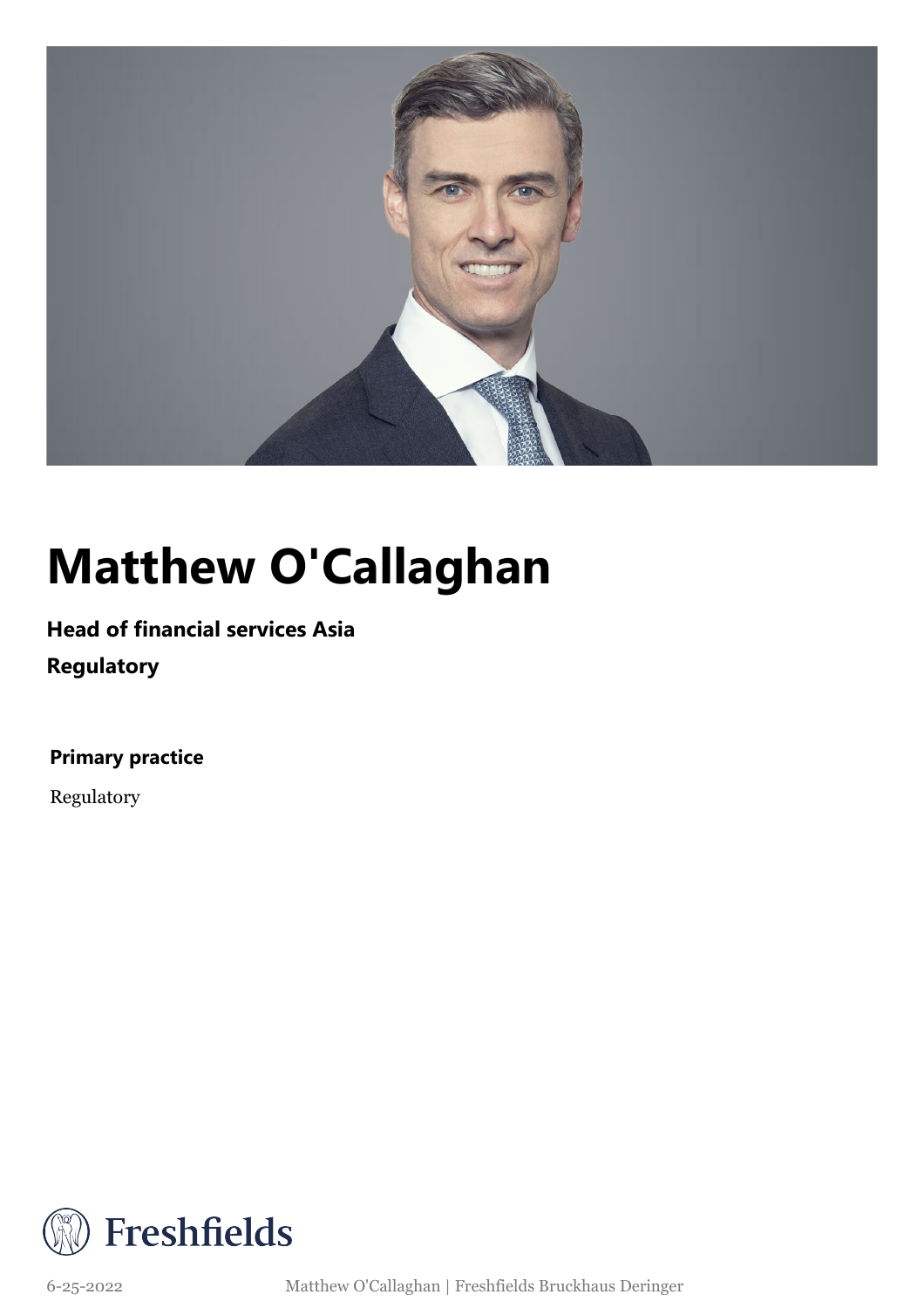

## **Matthew O'Callaghan**

### **Head of financial services Asia**

**Regulatory**

**Primary practice**

Regulatory



6-25-2022 Matthew O'Callaghan | Freshfields Bruckhaus Deringer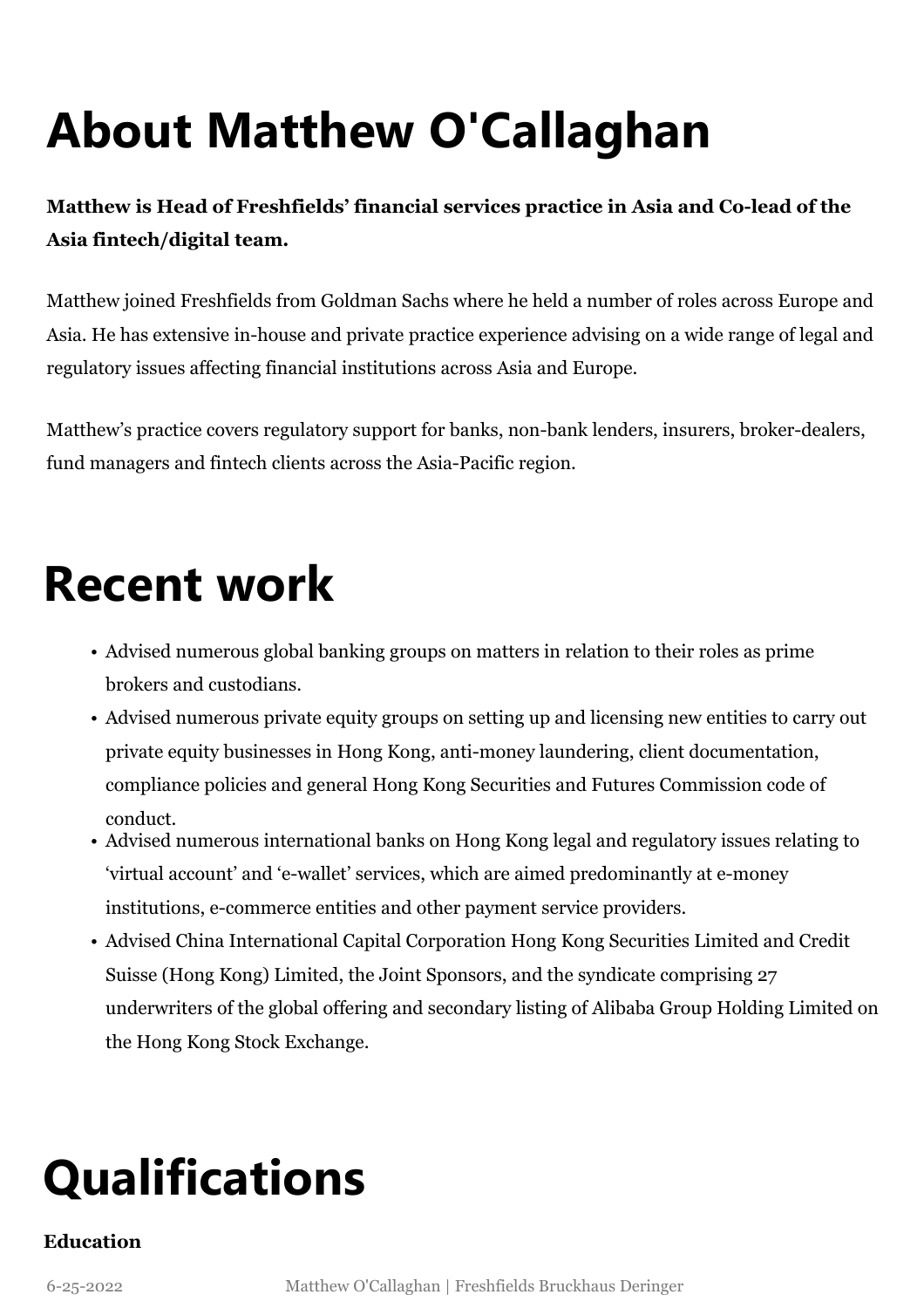# **About Matthew O'Callaghan**

**Matthew is Head of Freshfields' financial services practice in Asia and Co-lead of the Asia fintech/digital team.**

Matthew joined Freshfields from Goldman Sachs where he held a number of roles across Europe and Asia. He has extensive in-house and private practice experience advising on a wide range of legal and regulatory issues affecting financial institutions across Asia and Europe.

Matthew's practice covers regulatory support for banks, non-bank lenders, insurers, broker-dealers, fund managers and fintech clients across the Asia-Pacific region.

### **Recent work**

- Advised numerous global banking groups on matters in relation to their roles as prime brokers and custodians.
- Advised numerous private equity groups on setting up and licensing new entities to carry out private equity businesses in Hong Kong, anti-money laundering, client documentation, compliance policies and general Hong Kong Securities and Futures Commission code of conduct.
- Advised numerous international banks on Hong Kong legal and regulatory issues relating to 'virtual account' and 'e-wallet' services, which are aimed predominantly at e-money institutions, e-commerce entities and other payment service providers.
- Advised China International Capital Corporation Hong Kong Securities Limited and Credit Suisse (Hong Kong) Limited, the Joint Sponsors, and the syndicate comprising 27 underwriters of the global offering and secondary listing of Alibaba Group Holding Limited on the Hong Kong Stock Exchange.

## **Qualifications**

#### **Education**